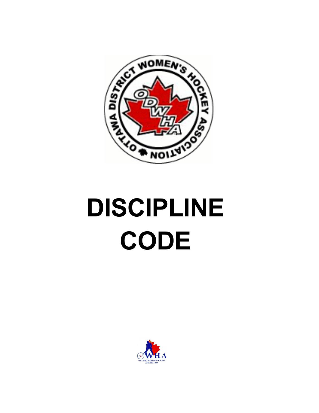

# **DISCIPLINE CODE**

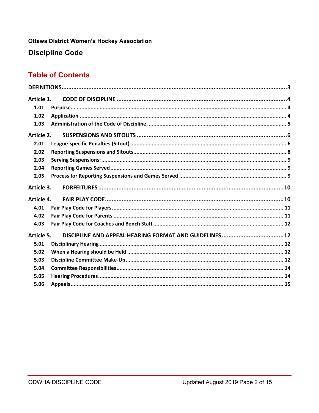**Ottawa District Women's Hockey Association** 

**Discipline Code** 

## **Table of Contents**

| Article 1. |  |  |  |
|------------|--|--|--|
| 1.01       |  |  |  |
| 1.02       |  |  |  |
| 1.03       |  |  |  |
| Article 2. |  |  |  |
| 2.01       |  |  |  |
| 2.02       |  |  |  |
| 2.03       |  |  |  |
| 2.04       |  |  |  |
| 2.05       |  |  |  |
| Article 3. |  |  |  |
| Article 4. |  |  |  |
| 4.01       |  |  |  |
| 4.02       |  |  |  |
| 4.03       |  |  |  |
| Article 5. |  |  |  |
| 5.01       |  |  |  |
| 5.02       |  |  |  |
| 5.03       |  |  |  |
| 5.04       |  |  |  |
| 5.05       |  |  |  |
| 5.06       |  |  |  |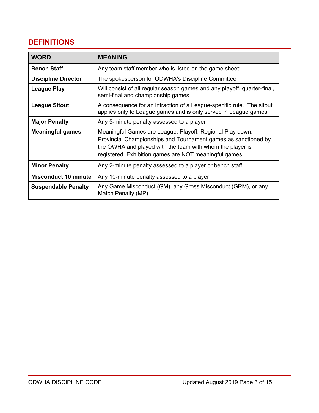# **DEFINITIONS**

| <b>WORD</b>                 | <b>MEANING</b>                                                                                                                                                                                                                                     |
|-----------------------------|----------------------------------------------------------------------------------------------------------------------------------------------------------------------------------------------------------------------------------------------------|
| <b>Bench Staff</b>          | Any team staff member who is listed on the game sheet;                                                                                                                                                                                             |
| <b>Discipline Director</b>  | The spokesperson for ODWHA's Discipline Committee                                                                                                                                                                                                  |
| <b>League Play</b>          | Will consist of all regular season games and any playoff, quarter-final,<br>semi-final and championship games                                                                                                                                      |
| <b>League Sitout</b>        | A consequence for an infraction of a League-specific rule. The sitout<br>applies only to League games and is only served in League games                                                                                                           |
| <b>Major Penalty</b>        | Any 5-minute penalty assessed to a player                                                                                                                                                                                                          |
| <b>Meaningful games</b>     | Meaningful Games are League, Playoff, Regional Play down,<br>Provincial Championships and Tournament games as sanctioned by<br>the OWHA and played with the team with whom the player is<br>registered. Exhibition games are NOT meaningful games. |
| <b>Minor Penalty</b>        | Any 2-minute penalty assessed to a player or bench staff                                                                                                                                                                                           |
| <b>Misconduct 10 minute</b> | Any 10-minute penalty assessed to a player                                                                                                                                                                                                         |
| <b>Suspendable Penalty</b>  | Any Game Misconduct (GM), any Gross Misconduct (GRM), or any<br>Match Penalty (MP)                                                                                                                                                                 |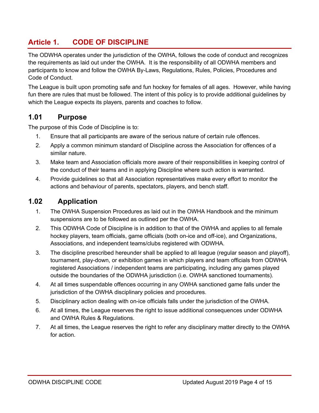# **Article 1. CODE OF DISCIPLINE**

The ODWHA operates under the jurisdiction of the OWHA, follows the code of conduct and recognizes the requirements as laid out under the OWHA. It is the responsibility of all ODWHA members and participants to know and follow the OWHA By-Laws, Regulations, Rules, Policies, Procedures and Code of Conduct.

The League is built upon promoting safe and fun hockey for females of all ages. However, while having fun there are rules that must be followed. The intent of this policy is to provide additional guidelines by which the League expects its players, parents and coaches to follow.

## **1.01 Purpose**

The purpose of this Code of Discipline is to:

- 1. Ensure that all participants are aware of the serious nature of certain rule offences.
- 2. Apply a common minimum standard of Discipline across the Association for offences of a similar nature.
- 3. Make team and Association officials more aware of their responsibilities in keeping control of the conduct of their teams and in applying Discipline where such action is warranted.
- 4. Provide guidelines so that all Association representatives make every effort to monitor the actions and behaviour of parents, spectators, players, and bench staff.

## **1.02 Application**

- 1. The OWHA Suspension Procedures as laid out in the OWHA Handbook and the minimum suspensions are to be followed as outlined per the OWHA.
- 2. This ODWHA Code of Discipline is in addition to that of the OWHA and applies to all female hockey players, team officials, game officials (both on-ice and off-ice), and Organizations, Associations, and independent teams/clubs registered with ODWHA.
- 3. The discipline prescribed hereunder shall be applied to all league (regular season and playoff), tournament, play-down, or exhibition games in which players and team officials from ODWHA registered Associations / independent teams are participating, including any games played outside the boundaries of the ODWHA jurisdiction (i.e. OWHA sanctioned tournaments).
- 4. At all times suspendable offences occurring in any OWHA sanctioned game falls under the jurisdiction of the OWHA disciplinary policies and procedures.
- 5. Disciplinary action dealing with on-ice officials falls under the jurisdiction of the OWHA.
- 6. At all times, the League reserves the right to issue additional consequences under ODWHA and OWHA Rules & Regulations.
- 7. At all times, the League reserves the right to refer any disciplinary matter directly to the OWHA for action.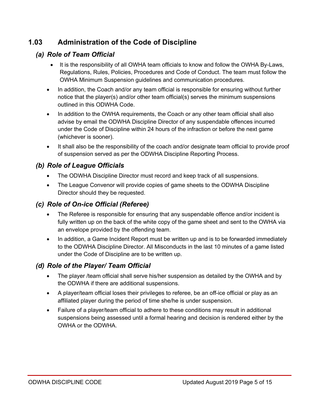## **1.03 Administration of the Code of Discipline**

## *(a) Role of Team Official*

- It is the responsibility of all OWHA team officials to know and follow the OWHA By-Laws, Regulations, Rules, Policies, Procedures and Code of Conduct. The team must follow the OWHA Minimum Suspension guidelines and communication procedures.
- In addition, the Coach and/or any team official is responsible for ensuring without further notice that the player(s) and/or other team official(s) serves the minimum suspensions outlined in this ODWHA Code.
- In addition to the OWHA requirements, the Coach or any other team official shall also advise by email the ODWHA Discipline Director of any suspendable offences incurred under the Code of Discipline within 24 hours of the infraction or before the next game (whichever is sooner).
- It shall also be the responsibility of the coach and/or designate team official to provide proof of suspension served as per the ODWHA Discipline Reporting Process.

## *(b) Role of League Officials*

- The ODWHA Discipline Director must record and keep track of all suspensions.
- The League Convenor will provide copies of game sheets to the ODWHA Discipline Director should they be requested.

## *(c) Role of On-ice Official (Referee)*

- The Referee is responsible for ensuring that any suspendable offence and/or incident is fully written up on the back of the white copy of the game sheet and sent to the OWHA via an envelope provided by the offending team.
- In addition, a Game Incident Report must be written up and is to be forwarded immediately to the ODWHA Discipline Director. All Misconducts in the last 10 minutes of a game listed under the Code of Discipline are to be written up.

## *(d) Role of the Player/ Team Official*

- The player /team official shall serve his/her suspension as detailed by the OWHA and by the ODWHA if there are additional suspensions.
- A player/team official loses their privileges to referee, be an off-ice official or play as an affiliated player during the period of time she/he is under suspension.
- Failure of a player/team official to adhere to these conditions may result in additional suspensions being assessed until a formal hearing and decision is rendered either by the OWHA or the ODWHA.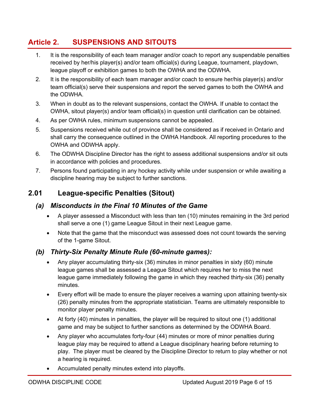# **Article 2. SUSPENSIONS AND SITOUTS**

- 1. It is the responsibility of each team manager and/or coach to report any suspendable penalties received by her/his player(s) and/or team official(s) during League, tournament, playdown, league playoff or exhibition games to both the OWHA and the ODWHA.
- 2. It is the responsibility of each team manager and/or coach to ensure her/his player(s) and/or team official(s) serve their suspensions and report the served games to both the OWHA and the ODWHA.
- 3. When in doubt as to the relevant suspensions, contact the OWHA. If unable to contact the OWHA, sitout player(s) and/or team official(s) in question until clarification can be obtained.
- 4. As per OWHA rules, minimum suspensions cannot be appealed.
- 5. Suspensions received while out of province shall be considered as if received in Ontario and shall carry the consequence outlined in the OWHA Handbook. All reporting procedures to the OWHA and ODWHA apply.
- 6. The ODWHA Discipline Director has the right to assess additional suspensions and/or sit outs in accordance with policies and procedures.
- 7. Persons found participating in any hockey activity while under suspension or while awaiting a discipline hearing may be subject to further sanctions.

## **2.01 League-specific Penalties (Sitout)**

#### *(a) Misconducts in the Final 10 Minutes of the Game*

- A player assessed a Misconduct with less than ten (10) minutes remaining in the 3rd period shall serve a one (1) game League Sitout in their next League game.
- Note that the game that the misconduct was assessed does not count towards the serving of the 1-game Sitout.

#### *(b) Thirty-Six Penalty Minute Rule (60-minute games):*

- Any player accumulating thirty-six (36) minutes in minor penalties in sixty (60) minute league games shall be assessed a League Sitout which requires her to miss the next league game immediately following the game in which they reached thirty-six (36) penalty minutes.
- Every effort will be made to ensure the player receives a warning upon attaining twenty-six (26) penalty minutes from the appropriate statistician. Teams are ultimately responsible to monitor player penalty minutes.
- At forty (40) minutes in penalties, the player will be required to sitout one (1) additional game and may be subject to further sanctions as determined by the ODWHA Board.
- Any player who accumulates forty-four (44) minutes or more of minor penalties during league play may be required to attend a League disciplinary hearing before returning to play. The player must be cleared by the Discipline Director to return to play whether or not a hearing is required.
- Accumulated penalty minutes extend into playoffs.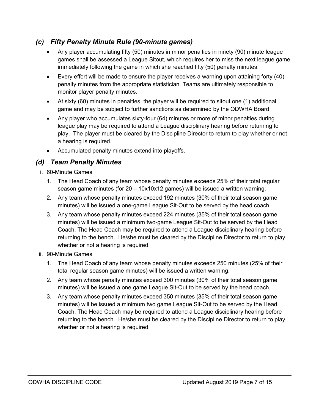## *(c) Fifty Penalty Minute Rule (90-minute games)*

- Any player accumulating fifty (50) minutes in minor penalties in ninety (90) minute league games shall be assessed a League Sitout, which requires her to miss the next league game immediately following the game in which she reached fifty (50) penalty minutes.
- Every effort will be made to ensure the player receives a warning upon attaining forty (40) penalty minutes from the appropriate statistician. Teams are ultimately responsible to monitor player penalty minutes.
- At sixty (60) minutes in penalties, the player will be required to sitout one (1) additional game and may be subject to further sanctions as determined by the ODWHA Board.
- Any player who accumulates sixty-four (64) minutes or more of minor penalties during league play may be required to attend a League disciplinary hearing before returning to play. The player must be cleared by the Discipline Director to return to play whether or not a hearing is required.
- Accumulated penalty minutes extend into playoffs.

### *(d) Team Penalty Minutes*

- i. 60-Minute Games
	- 1. The Head Coach of any team whose penalty minutes exceeds 25% of their total regular season game minutes (for 20 – 10x10x12 games) will be issued a written warning.
	- 2. Any team whose penalty minutes exceed 192 minutes (30% of their total season game minutes) will be issued a one-game League Sit-Out to be served by the head coach.
	- 3. Any team whose penalty minutes exceed 224 minutes (35% of their total season game minutes) will be issued a minimum two-game League Sit-Out to be served by the Head Coach. The Head Coach may be required to attend a League disciplinary hearing before returning to the bench. He/she must be cleared by the Discipline Director to return to play whether or not a hearing is required.
- ii. 90-Minute Games
	- 1. The Head Coach of any team whose penalty minutes exceeds 250 minutes (25% of their total regular season game minutes) will be issued a written warning.
	- 2. Any team whose penalty minutes exceed 300 minutes (30% of their total season game minutes) will be issued a one game League Sit-Out to be served by the head coach.
	- 3. Any team whose penalty minutes exceed 350 minutes (35% of their total season game minutes) will be issued a minimum two game League Sit-Out to be served by the Head Coach. The Head Coach may be required to attend a League disciplinary hearing before returning to the bench. He/she must be cleared by the Discipline Director to return to play whether or not a hearing is required.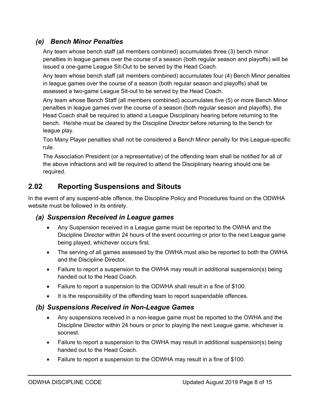## *(e) Bench Minor Penalties*

Any team whose bench staff (all members combined) accumulates three (3) bench minor penalties in league games over the course of a season (both regular season and playoffs) will be issued a one-game League Sit-Out to be served by the Head Coach.

Any team whose bench staff (all members combined) accumulates four (4) Bench Minor penalties in league games over the course of a season (both regular season and playoffs) shall be assessed a two-game League Sit-out to be served by the Head Coach.

Any team whose Bench Staff (all members combined) accumulates five (5) or more Bench Minor penalties in league games over the course of a season (both regular season and playoffs), the Head Coach shall be required to attend a League Disciplinary hearing before returning to the bench. He/she must be cleared by the Discipline Director before returning to the bench for league play.

Too Many Player penalties shall not be considered a Bench Minor penalty for this League-specific rule.

The Association President (or a representative) of the offending team shall be notified for all of the above infractions and will be required to attend the Disciplinary hearing should one be required.

## **2.02 Reporting Suspensions and Sitouts**

In the event of any suspend-able offence, the Discipline Policy and Procedures found on the ODWHA website must be followed in its entirety.

#### *(a) Suspension Received in League games*

- Any Suspension received in a League game must be reported to the OWHA and the Discipline Director within 24 hours of the event occurring or prior to the next League game being played, whichever occurs first.
- The serving of all games assessed by the OWHA must also be reported to both the OWHA and the Discipline Director.
- Failure to report a suspension to the OWHA may result in additional suspension(s) being handed out to the Head Coach.
- Failure to report a suspension to the ODWHA shall result in a fine of \$100.
- It is the responsibility of the offending team to report suspendable offences.

#### *(b) Suspensions Received in Non-League Games*

- Any suspensions received in a non-league game must be reported to the OWHA and the Discipline Director within 24 hours or prior to playing the next League game, whichever is soonest.
- Failure to report a suspension to the OWHA may result in additional suspension(s) being handed out to the Head Coach.
- Failure to report a suspension to the ODWHA may result in a fine of \$100.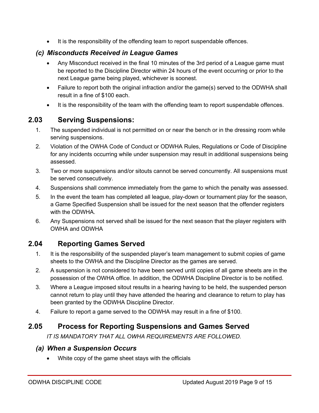• It is the responsibility of the offending team to report suspendable offences.

## *(c) Misconducts Received in League Games*

- Any Misconduct received in the final 10 minutes of the 3rd period of a League game must be reported to the Discipline Director within 24 hours of the event occurring or prior to the next League game being played, whichever is soonest.
- Failure to report both the original infraction and/or the game(s) served to the ODWHA shall result in a fine of \$100 each.
- It is the responsibility of the team with the offending team to report suspendable offences.

# **2.03 Serving Suspensions:**

- 1. The suspended individual is not permitted on or near the bench or in the dressing room while serving suspensions.
- 2. Violation of the OWHA Code of Conduct or ODWHA Rules, Regulations or Code of Discipline for any incidents occurring while under suspension may result in additional suspensions being assessed.
- 3. Two or more suspensions and/or sitouts cannot be served concurrently. All suspensions must be served consecutively.
- 4. Suspensions shall commence immediately from the game to which the penalty was assessed.
- 5. In the event the team has completed all league, play-down or tournament play for the season, a Game Specified Suspension shall be issued for the next season that the offender registers with the ODWHA.
- 6. Any Suspensions not served shall be issued for the next season that the player registers with OWHA and ODWHA

# **2.04 Reporting Games Served**

- 1. It is the responsibility of the suspended player's team management to submit copies of game sheets to the OWHA and the Discipline Director as the games are served.
- 2. A suspension is not considered to have been served until copies of all game sheets are in the possession of the OWHA office. In addition, the ODWHA Discipline Director is to be notified.
- 3. Where a League imposed sitout results in a hearing having to be held, the suspended person cannot return to play until they have attended the hearing and clearance to return to play has been granted by the ODWHA Discipline Director.
- 4. Failure to report a game served to the ODWHA may result in a fine of \$100.

# **2.05 Process for Reporting Suspensions and Games Served**

*IT IS MANDATORY THAT ALL OWHA REQUIREMENTS ARE FOLLOWED.*

## *(a) When a Suspension Occurs*

• White copy of the game sheet stays with the officials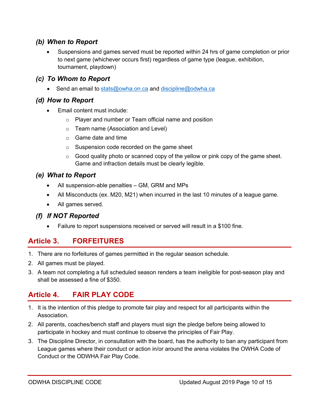#### *(b) When to Report*

• Suspensions and games served must be reported within 24 hrs of game completion or prior to next game (whichever occurs first) regardless of game type (league, exhibition, tournament, playdown)

#### *(c) To Whom to Report*

• Send an email to stats@owha.on.ca and discipline@odwha.ca

## *(d) How to Report*

- Email content must include:
	- o Player and number or Team official name and position
	- o Team name (Association and Level)
	- o Game date and time
	- o Suspension code recorded on the game sheet
	- $\circ$  Good quality photo or scanned copy of the yellow or pink copy of the game sheet. Game and infraction details must be clearly legible.

### *(e) What to Report*

- All suspension-able penalties GM, GRM and MPs
- All Misconducts (ex. M20, M21) when incurred in the last 10 minutes of a league game.
- All games served.

## *(f) If NOT Reported*

• Failure to report suspensions received or served will result in a \$100 fine.

# **Article 3. FORFEITURES**

- 1. There are no forfeitures of games permitted in the regular season schedule.
- 2. All games must be played.
- 3. A team not completing a full scheduled season renders a team ineligible for post-season play and shall be assessed a fine of \$350.

# **Article 4. FAIR PLAY CODE**

- 1. It is the intention of this pledge to promote fair play and respect for all participants within the Association.
- 2. All parents, coaches/bench staff and players must sign the pledge before being allowed to participate in hockey and must continue to observe the principles of Fair Play.
- 3. The Discipline Director, in consultation with the board, has the authority to ban any participant from League games where their conduct or action in/or around the arena violates the OWHA Code of Conduct or the ODWHA Fair Play Code.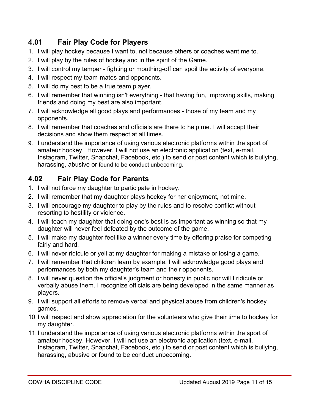# **4.01 Fair Play Code for Players**

- 1. I will play hockey because I want to, not because others or coaches want me to.
- 2. I will play by the rules of hockey and in the spirit of the Game.
- 3. I will control my temper fighting or mouthing-off can spoil the activity of everyone.
- 4. I will respect my team-mates and opponents.
- 5. I will do my best to be a true team player.
- 6. I will remember that winning isn't everything that having fun, improving skills, making friends and doing my best are also important.
- 7. I will acknowledge all good plays and performances those of my team and my opponents.
- 8. I will remember that coaches and officials are there to help me. I will accept their decisions and show them respect at all times.
- 9. I understand the importance of using various electronic platforms within the sport of amateur hockey. However, I will not use an electronic application (text, e-mail, Instagram, Twitter, Snapchat, Facebook, etc.) to send or post content which is bullying, harassing, abusive or found to be conduct unbecoming.

# **4.02 Fair Play Code for Parents**

- 1. I will not force my daughter to participate in hockey.
- 2. I will remember that my daughter plays hockey for her enjoyment, not mine.
- 3. I will encourage my daughter to play by the rules and to resolve conflict without resorting to hostility or violence.
- 4. I will teach my daughter that doing one's best is as important as winning so that my daughter will never feel defeated by the outcome of the game.
- 5. I will make my daughter feel like a winner every time by offering praise for competing fairly and hard.
- 6. I will never ridicule or yell at my daughter for making a mistake or losing a game.
- 7. I will remember that children learn by example. I will acknowledge good plays and performances by both my daughter's team and their opponents.
- 8. I will never question the official's judgment or honesty in public nor will I ridicule or verbally abuse them. I recognize officials are being developed in the same manner as players.
- 9. I will support all efforts to remove verbal and physical abuse from children's hockey games.
- 10.I will respect and show appreciation for the volunteers who give their time to hockey for my daughter.
- 11.I understand the importance of using various electronic platforms within the sport of amateur hockey. However, I will not use an electronic application (text, e-mail, Instagram, Twitter, Snapchat, Facebook, etc.) to send or post content which is bullying, harassing, abusive or found to be conduct unbecoming.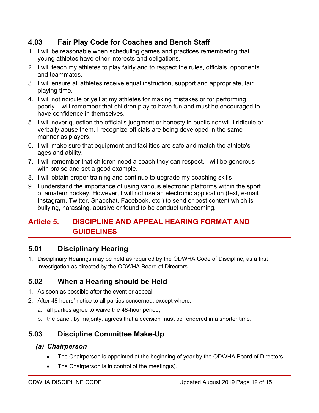# **4.03 Fair Play Code for Coaches and Bench Staff**

- 1. I will be reasonable when scheduling games and practices remembering that young athletes have other interests and obligations.
- 2. I will teach my athletes to play fairly and to respect the rules, officials, opponents and teammates.
- 3. I will ensure all athletes receive equal instruction, support and appropriate, fair playing time.
- 4. I will not ridicule or yell at my athletes for making mistakes or for performing poorly. I will remember that children play to have fun and must be encouraged to have confidence in themselves.
- 5. I will never question the official's judgment or honesty in public nor will I ridicule or verbally abuse them. I recognize officials are being developed in the same manner as players.
- 6. I will make sure that equipment and facilities are safe and match the athlete's ages and ability.
- 7. I will remember that children need a coach they can respect. I will be generous with praise and set a good example.
- 8. I will obtain proper training and continue to upgrade my coaching skills
- 9. I understand the importance of using various electronic platforms within the sport of amateur hockey. However, I will not use an electronic application (text, e-mail, Instagram, Twitter, Snapchat, Facebook, etc.) to send or post content which is bullying, harassing, abusive or found to be conduct unbecoming.

# **Article 5. DISCIPLINE AND APPEAL HEARING FORMAT AND GUIDELINES**

## **5.01 Disciplinary Hearing**

1. Disciplinary Hearings may be held as required by the ODWHA Code of Discipline, as a first investigation as directed by the ODWHA Board of Directors.

# **5.02 When a Hearing should be Held**

- 1. As soon as possible after the event or appeal
- 2. After 48 hours' notice to all parties concerned, except where:
	- a. all parties agree to waive the 48-hour period;
	- b. the panel, by majority, agrees that a decision must be rendered in a shorter time.

# **5.03 Discipline Committee Make-Up**

## *(a) Chairperson*

- The Chairperson is appointed at the beginning of year by the ODWHA Board of Directors.
- The Chairperson is in control of the meeting(s).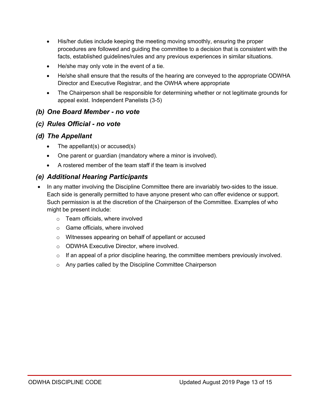- His/her duties include keeping the meeting moving smoothly, ensuring the proper procedures are followed and guiding the committee to a decision that is consistent with the facts, established guidelines/rules and any previous experiences in similar situations.
- He/she may only vote in the event of a tie.
- He/she shall ensure that the results of the hearing are conveyed to the appropriate ODWHA Director and Executive Registrar, and the OWHA where appropriate
- The Chairperson shall be responsible for determining whether or not legitimate grounds for appeal exist. Independent Panelists (3-5)

#### *(b) One Board Member - no vote*

#### *(c) Rules Official - no vote*

#### *(d) The Appellant*

- The appellant(s) or  $accused(s)$
- One parent or guardian (mandatory where a minor is involved).
- A rostered member of the team staff if the team is involved

#### *(e) Additional Hearing Participants*

- In any matter involving the Discipline Committee there are invariably two-sides to the issue. Each side is generally permitted to have anyone present who can offer evidence or support. Such permission is at the discretion of the Chairperson of the Committee. Examples of who might be present include:
	- o Team officials, where involved
	- o Game officials, where involved
	- o Witnesses appearing on behalf of appellant or accused
	- o ODWHA Executive Director, where involved.
	- $\circ$  If an appeal of a prior discipline hearing, the committee members previously involved.
	- o Any parties called by the Discipline Committee Chairperson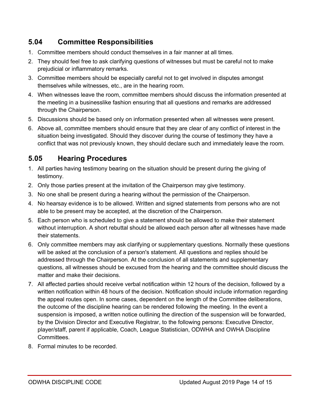# **5.04 Committee Responsibilities**

- 1. Committee members should conduct themselves in a fair manner at all times.
- 2. They should feel free to ask clarifying questions of witnesses but must be careful not to make prejudicial or inflammatory remarks.
- 3. Committee members should be especially careful not to get involved in disputes amongst themselves while witnesses, etc., are in the hearing room.
- 4. When witnesses leave the room, committee members should discuss the information presented at the meeting in a businesslike fashion ensuring that all questions and remarks are addressed through the Chairperson.
- 5. Discussions should be based only on information presented when all witnesses were present.
- 6. Above all, committee members should ensure that they are clear of any conflict of interest in the situation being investigated. Should they discover during the course of testimony they have a conflict that was not previously known, they should declare such and immediately leave the room.

# **5.05 Hearing Procedures**

- 1. All parties having testimony bearing on the situation should be present during the giving of testimony.
- 2. Only those parties present at the invitation of the Chairperson may give testimony.
- 3. No one shall be present during a hearing without the permission of the Chairperson.
- 4. No hearsay evidence is to be allowed. Written and signed statements from persons who are not able to be present may be accepted, at the discretion of the Chairperson.
- 5. Each person who is scheduled to give a statement should be allowed to make their statement without interruption. A short rebuttal should be allowed each person after all witnesses have made their statements.
- 6. Only committee members may ask clarifying or supplementary questions. Normally these questions will be asked at the conclusion of a person's statement. All questions and replies should be addressed through the Chairperson. At the conclusion of all statements and supplementary questions, all witnesses should be excused from the hearing and the committee should discuss the matter and make their decisions.
- 7. All affected parties should receive verbal notification within 12 hours of the decision, followed by a written notification within 48 hours of the decision. Notification should include information regarding the appeal routes open. In some cases, dependent on the length of the Committee deliberations, the outcome of the discipline hearing can be rendered following the meeting. In the event a suspension is imposed, a written notice outlining the direction of the suspension will be forwarded, by the Division Director and Executive Registrar, to the following persons: Executive Director, player/staff, parent if applicable, Coach, League Statistician, ODWHA and OWHA Discipline Committees.
- 8. Formal minutes to be recorded.